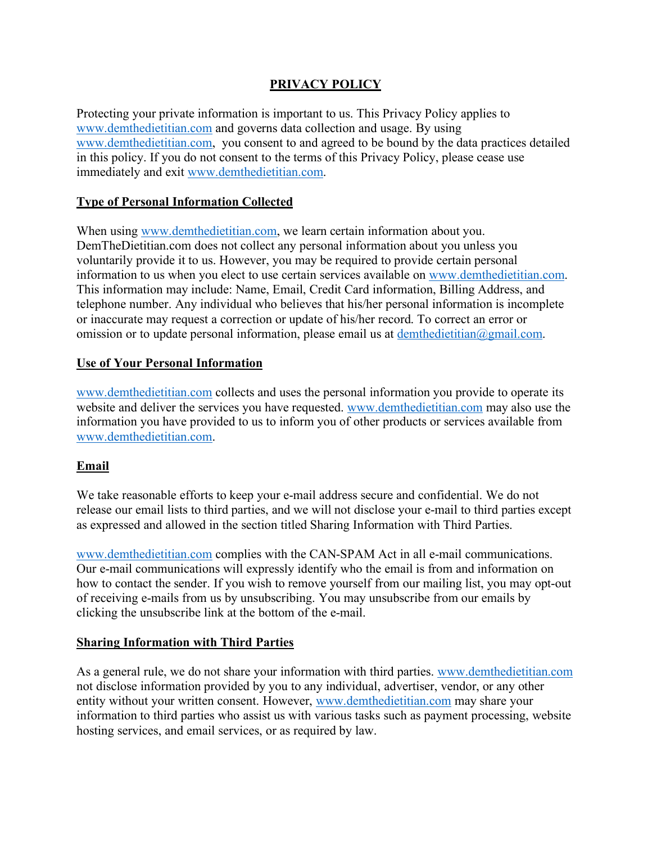## **PRIVACY POLICY**

Protecting your private information is important to us. This Privacy Policy applies to www.demthedietitian.com and governs data collection and usage. By using www.demthedietitian.com, you consent to and agreed to be bound by the data practices detailed in this policy. If you do not consent to the terms of this Privacy Policy, please cease use immediately and exit www.demthedietitian.com.

### **Type of Personal Information Collected**

When using www.demthedietitian.com, we learn certain information about you. DemTheDietitian.com does not collect any personal information about you unless you voluntarily provide it to us. However, you may be required to provide certain personal information to us when you elect to use certain services available on www.demthedietitian.com. This information may include: Name, Email, Credit Card information, Billing Address, and telephone number. Any individual who believes that his/her personal information is incomplete or inaccurate may request a correction or update of his/her record. To correct an error or omission or to update personal information, please email us at  $d$ emthedietitian $(a)$ gmail.com.

#### **Use of Your Personal Information**

www.demthedietitian.com collects and uses the personal information you provide to operate its website and deliver the services you have requested. www.demthedietitian.com may also use the information you have provided to us to inform you of other products or services available from www.demthedietitian.com.

### **Email**

We take reasonable efforts to keep your e-mail address secure and confidential. We do not release our email lists to third parties, and we will not disclose your e-mail to third parties except as expressed and allowed in the section titled Sharing Information with Third Parties.

www.demthedietitian.com complies with the CAN-SPAM Act in all e-mail communications. Our e-mail communications will expressly identify who the email is from and information on how to contact the sender. If you wish to remove yourself from our mailing list, you may opt-out of receiving e-mails from us by unsubscribing. You may unsubscribe from our emails by clicking the unsubscribe link at the bottom of the e-mail.

#### **Sharing Information with Third Parties**

As a general rule, we do not share your information with third parties. www.demthedietitian.com not disclose information provided by you to any individual, advertiser, vendor, or any other entity without your written consent. However, www.demthedietitian.com may share your information to third parties who assist us with various tasks such as payment processing, website hosting services, and email services, or as required by law.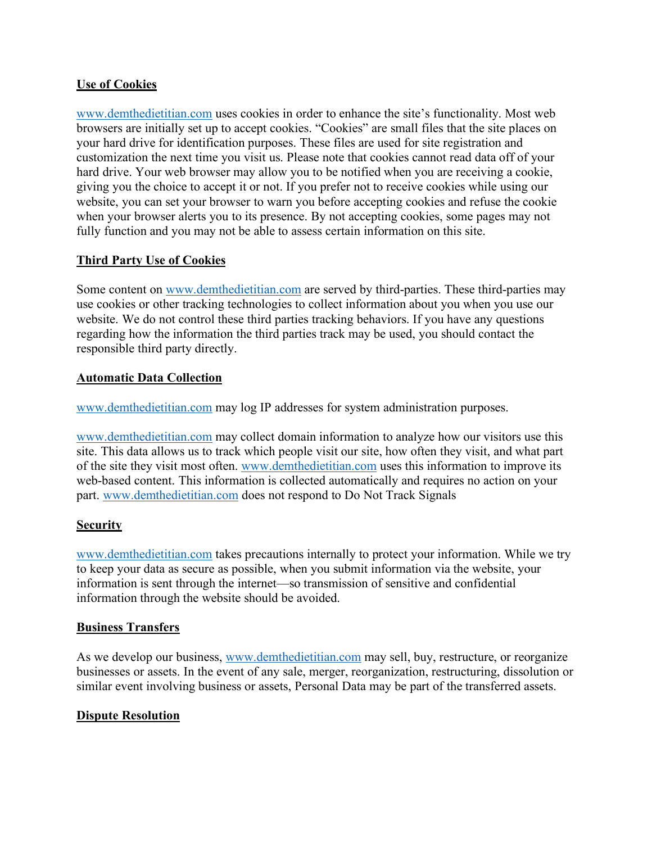### **Use of Cookies**

www.demthedietitian.com uses cookies in order to enhance the site's functionality. Most web browsers are initially set up to accept cookies. "Cookies" are small files that the site places on your hard drive for identification purposes. These files are used for site registration and customization the next time you visit us. Please note that cookies cannot read data off of your hard drive. Your web browser may allow you to be notified when you are receiving a cookie, giving you the choice to accept it or not. If you prefer not to receive cookies while using our website, you can set your browser to warn you before accepting cookies and refuse the cookie when your browser alerts you to its presence. By not accepting cookies, some pages may not fully function and you may not be able to assess certain information on this site.

## **Third Party Use of Cookies**

Some content on www.demthedietitian.com are served by third-parties. These third-parties may use cookies or other tracking technologies to collect information about you when you use our website. We do not control these third parties tracking behaviors. If you have any questions regarding how the information the third parties track may be used, you should contact the responsible third party directly.

### **Automatic Data Collection**

www.demthedietitian.com may log IP addresses for system administration purposes.

www.demthedietitian.com may collect domain information to analyze how our visitors use this site. This data allows us to track which people visit our site, how often they visit, and what part of the site they visit most often. www.demthedietitian.com uses this information to improve its web-based content. This information is collected automatically and requires no action on your part. www.demthedietitian.com does not respond to Do Not Track Signals

### **Security**

www.demthedietitian.com takes precautions internally to protect your information. While we try to keep your data as secure as possible, when you submit information via the website, your information is sent through the internet—so transmission of sensitive and confidential information through the website should be avoided.

### **Business Transfers**

As we develop our business, www.demthedietitian.com may sell, buy, restructure, or reorganize businesses or assets. In the event of any sale, merger, reorganization, restructuring, dissolution or similar event involving business or assets, Personal Data may be part of the transferred assets.

### **Dispute Resolution**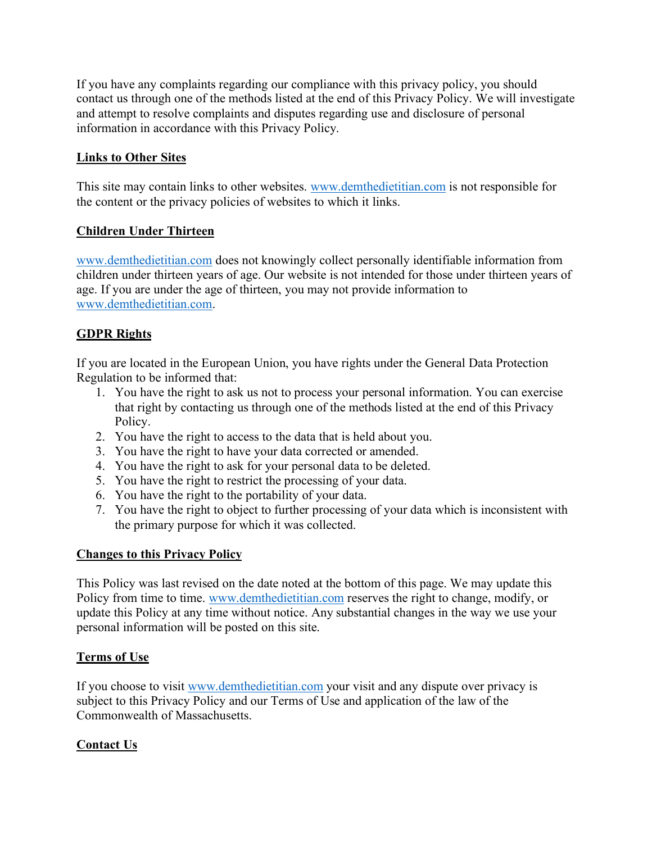If you have any complaints regarding our compliance with this privacy policy, you should contact us through one of the methods listed at the end of this Privacy Policy. We will investigate and attempt to resolve complaints and disputes regarding use and disclosure of personal information in accordance with this Privacy Policy.

## **Links to Other Sites**

This site may contain links to other websites. www.demthedietitian.com is not responsible for the content or the privacy policies of websites to which it links.

## **Children Under Thirteen**

www.demthedietitian.com does not knowingly collect personally identifiable information from children under thirteen years of age. Our website is not intended for those under thirteen years of age. If you are under the age of thirteen, you may not provide information to www.demthedietitian.com.

# **GDPR Rights**

If you are located in the European Union, you have rights under the General Data Protection Regulation to be informed that:

- 1. You have the right to ask us not to process your personal information. You can exercise that right by contacting us through one of the methods listed at the end of this Privacy Policy.
- 2. You have the right to access to the data that is held about you.
- 3. You have the right to have your data corrected or amended.
- 4. You have the right to ask for your personal data to be deleted.
- 5. You have the right to restrict the processing of your data.
- 6. You have the right to the portability of your data.
- 7. You have the right to object to further processing of your data which is inconsistent with the primary purpose for which it was collected.

### **Changes to this Privacy Policy**

This Policy was last revised on the date noted at the bottom of this page. We may update this Policy from time to time. www.demthedietitian.com reserves the right to change, modify, or update this Policy at any time without notice. Any substantial changes in the way we use your personal information will be posted on this site.

### **Terms of Use**

If you choose to visit www.demthedietitian.com your visit and any dispute over privacy is subject to this Privacy Policy and our Terms of Use and application of the law of the Commonwealth of Massachusetts.

# **Contact Us**